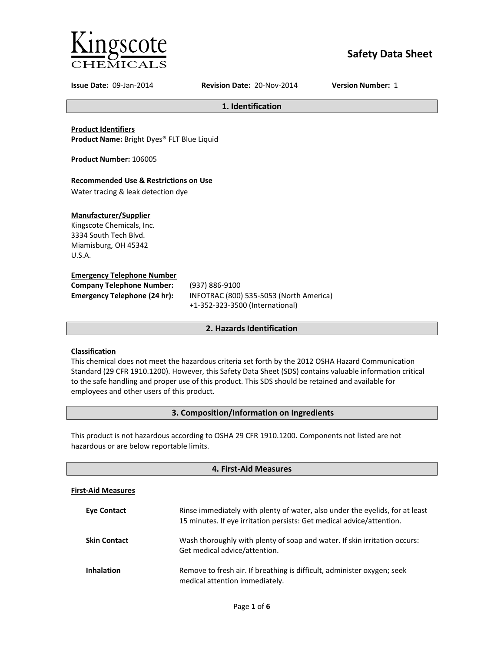

# **Safety Data Sheet**

**Issue Date:** 09-Jan-2014 **Revision Date:** 20-Nov-2014 **Version Number:** 1

**1. Identification**

**Product Identifiers**

**Product Name:** Bright Dyes® FLT Blue Liquid

**Product Number:** 106005

## **Recommended Use & Restrictions on Use**

Water tracing & leak detection dye

## **Manufacturer/Supplier**

Kingscote Chemicals, Inc. 3334 South Tech Blvd. Miamisburg, OH 45342 U.S.A.

## **Emergency Telephone Number**

| <b>Company Telephone Number:</b>    | (9) |
|-------------------------------------|-----|
| <b>Emergency Telephone (24 hr):</b> | INI |
|                                     |     |

**Company Telephone Number:** (937) 886-9100 **Emergency Telephone (24 hr):** INFOTRAC (800) 535-5053 (North America) +1-352-323-3500 (International)

## **2. Hazards Identification**

## **Classification**

This chemical does not meet the hazardous criteria set forth by the 2012 OSHA Hazard Communication Standard (29 CFR 1910.1200). However, this Safety Data Sheet (SDS) contains valuable information critical to the safe handling and proper use of this product. This SDS should be retained and available for employees and other users of this product.

## **3. Composition/Information on Ingredients**

This product is not hazardous according to OSHA 29 CFR 1910.1200. Components not listed are not hazardous or are below reportable limits.

| 4. First-Aid Measures     |                                                                                                                                                       |  |
|---------------------------|-------------------------------------------------------------------------------------------------------------------------------------------------------|--|
| <b>First-Aid Measures</b> |                                                                                                                                                       |  |
| <b>Eve Contact</b>        | Rinse immediately with plenty of water, also under the eyelids, for at least<br>15 minutes. If eye irritation persists: Get medical advice/attention. |  |
| <b>Skin Contact</b>       | Wash thoroughly with plenty of soap and water. If skin irritation occurs:<br>Get medical advice/attention.                                            |  |
| <b>Inhalation</b>         | Remove to fresh air. If breathing is difficult, administer oxygen; seek<br>medical attention immediately.                                             |  |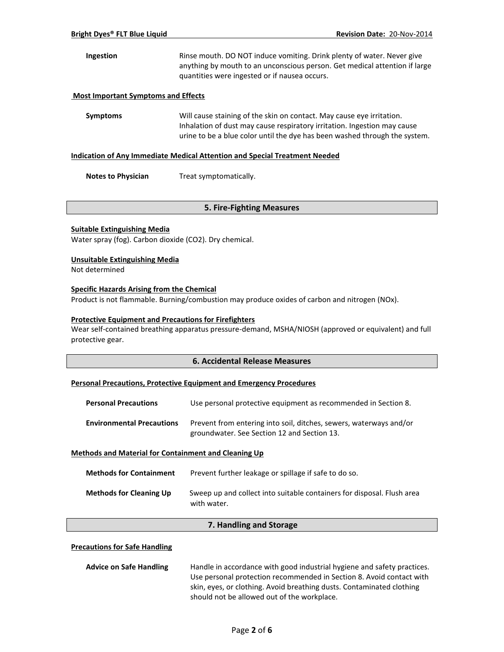## **Ingestion** Rinse mouth. DO NOT induce vomiting. Drink plenty of water. Never give anything by mouth to an unconscious person. Get medical attention if large quantities were ingested or if nausea occurs.

## **Most Important Symptoms and Effects**

**Symptoms** Will cause staining of the skin on contact. May cause eye irritation. Inhalation of dust may cause respiratory irritation. Ingestion may cause urine to be a blue color until the dye has been washed through the system.

#### **Indication of Any Immediate Medical Attention and Special Treatment Needed**

**Notes to Physician** Treat symptomatically.

## **5. Fire-Fighting Measures**

## **Suitable Extinguishing Media**

Water spray (fog). Carbon dioxide (CO2). Dry chemical.

## **Unsuitable Extinguishing Media**

Not determined

## **Specific Hazards Arising from the Chemical**

Product is not flammable. Burning/combustion may produce oxides of carbon and nitrogen (NOx).

## **Protective Equipment and Precautions for Firefighters**

Wear self-contained breathing apparatus pressure-demand, MSHA/NIOSH (approved or equivalent) and full protective gear.

## **6. Accidental Release Measures**

#### **Personal Precautions, Protective Equipment and Emergency Procedures**

| <b>Personal Precautions</b>      | Use personal protective equipment as recommended in Section 8.                                                    |
|----------------------------------|-------------------------------------------------------------------------------------------------------------------|
| <b>Environmental Precautions</b> | Prevent from entering into soil, ditches, sewers, waterways and/or<br>groundwater. See Section 12 and Section 13. |

#### **Methods and Material for Containment and Cleaning Up**

| <b>Methods for Containment</b> | Prevent further leakage or spillage if safe to do so.                                 |
|--------------------------------|---------------------------------------------------------------------------------------|
| <b>Methods for Cleaning Up</b> | Sweep up and collect into suitable containers for disposal. Flush area<br>with water. |

## **7. Handling and Storage**

#### **Precautions for Safe Handling**

| <b>Advice on Safe Handling</b> | Handle in accordance with good industrial hygiene and safety practices. |
|--------------------------------|-------------------------------------------------------------------------|
|                                | Use personal protection recommended in Section 8. Avoid contact with    |
|                                | skin, eyes, or clothing. Avoid breathing dusts. Contaminated clothing   |
|                                | should not be allowed out of the workplace.                             |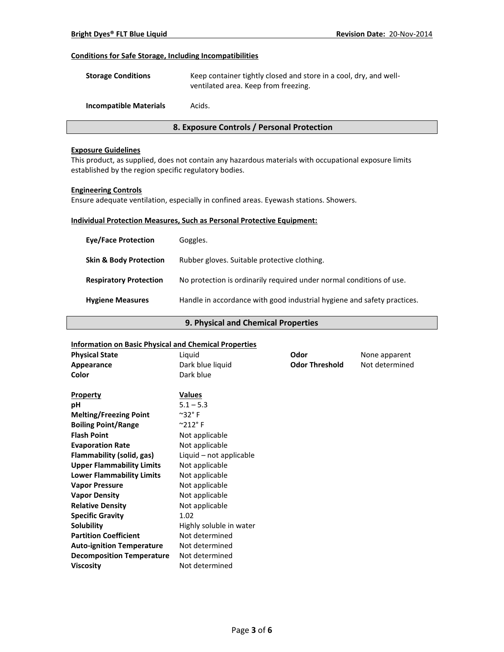## **Conditions for Safe Storage, Including Incompatibilities**

| <b>Storage Conditions</b>     | Keep container tightly closed and store in a cool, dry, and well-<br>ventilated area. Keep from freezing. |
|-------------------------------|-----------------------------------------------------------------------------------------------------------|
| <b>Incompatible Materials</b> | Acids.                                                                                                    |

## **8. Exposure Controls / Personal Protection**

## **Exposure Guidelines**

This product, as supplied, does not contain any hazardous materials with occupational exposure limits established by the region specific regulatory bodies.

#### **Engineering Controls**

Ensure adequate ventilation, especially in confined areas. Eyewash stations. Showers.

## **Individual Protection Measures, Such as Personal Protective Equipment:**

| <b>Eve/Face Protection</b>        | Goggles.                                                                |
|-----------------------------------|-------------------------------------------------------------------------|
| <b>Skin &amp; Body Protection</b> | Rubber gloves. Suitable protective clothing.                            |
| <b>Respiratory Protection</b>     | No protection is ordinarily required under normal conditions of use.    |
| <b>Hygiene Measures</b>           | Handle in accordance with good industrial hygiene and safety practices. |

## **9. Physical and Chemical Properties**

### **Information on Basic Physical and Chemical Properties**

| <b>Physical State</b>            | Liquid                      | Odor                  | None apparent  |
|----------------------------------|-----------------------------|-----------------------|----------------|
| Appearance                       | Dark blue liquid            | <b>Odor Threshold</b> | Not determined |
| Color                            | Dark blue                   |                       |                |
|                                  |                             |                       |                |
| <b>Property</b>                  | <b>Values</b>               |                       |                |
| рH                               | $5.1 - 5.3$                 |                       |                |
| <b>Melting/Freezing Point</b>    | $^{\sim}$ 32° F             |                       |                |
| <b>Boiling Point/Range</b>       | $^{\circ}$ 212 $^{\circ}$ F |                       |                |
| <b>Flash Point</b>               | Not applicable              |                       |                |
| <b>Evaporation Rate</b>          | Not applicable              |                       |                |
| Flammability (solid, gas)        | Liquid - not applicable     |                       |                |
| <b>Upper Flammability Limits</b> | Not applicable              |                       |                |
| <b>Lower Flammability Limits</b> | Not applicable              |                       |                |
| <b>Vapor Pressure</b>            | Not applicable              |                       |                |
| <b>Vapor Density</b>             | Not applicable              |                       |                |
| <b>Relative Density</b>          | Not applicable              |                       |                |
| <b>Specific Gravity</b>          | 1.02                        |                       |                |
| Solubility                       | Highly soluble in water     |                       |                |
| <b>Partition Coefficient</b>     | Not determined              |                       |                |
| <b>Auto-ignition Temperature</b> | Not determined              |                       |                |
| <b>Decomposition Temperature</b> | Not determined              |                       |                |
| <b>Viscosity</b>                 | Not determined              |                       |                |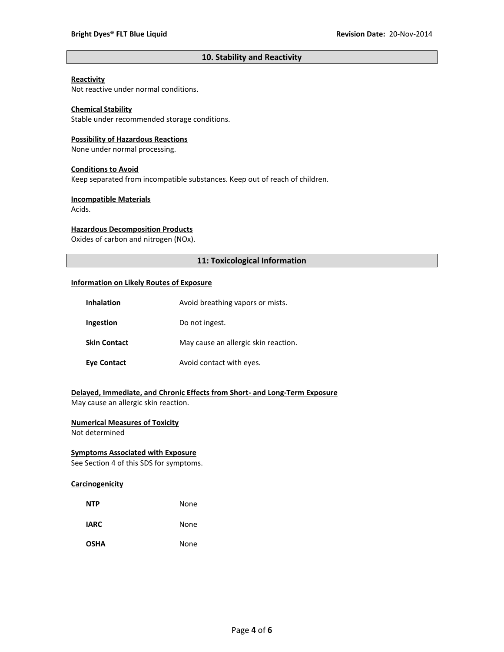## **10. Stability and Reactivity**

## **Reactivity**

Not reactive under normal conditions.

## **Chemical Stability**

Stable under recommended storage conditions.

#### **Possibility of Hazardous Reactions**

None under normal processing.

#### **Conditions to Avoid**

Keep separated from incompatible substances. Keep out of reach of children.

#### **Incompatible Materials**

Acids.

## **Hazardous Decomposition Products**

Oxides of carbon and nitrogen (NOx).

## **11: Toxicological Information**

#### **Information on Likely Routes of Exposure**

| <b>Inhalation</b>   | Avoid breathing vapors or mists.     |
|---------------------|--------------------------------------|
| Ingestion           | Do not ingest.                       |
| <b>Skin Contact</b> | May cause an allergic skin reaction. |
| <b>Eye Contact</b>  | Avoid contact with eyes.             |

## **Delayed, Immediate, and Chronic Effects from Short- and Long-Term Exposure**

May cause an allergic skin reaction.

## **Numerical Measures of Toxicity**

Not determined

## **Symptoms Associated with Exposure**

See Section 4 of this SDS for symptoms.

## **Carcinogenicity**

| <b>NTP</b>  | None |
|-------------|------|
| <b>IARC</b> | None |
| <b>OSHA</b> | None |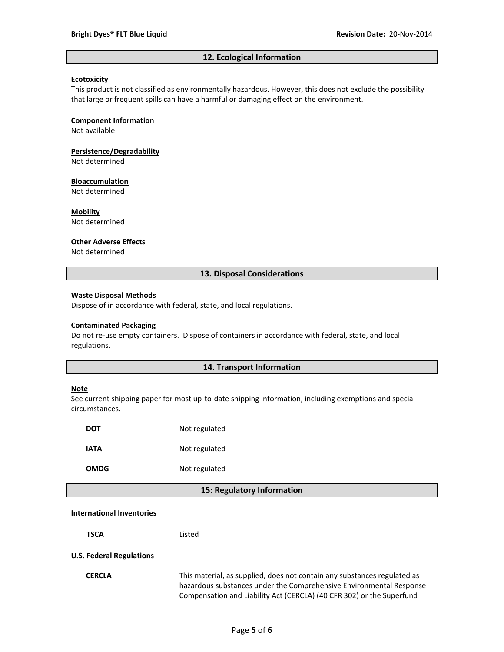#### **12. Ecological Information**

#### **Ecotoxicity**

This product is not classified as environmentally hazardous. However, this does not exclude the possibility that large or frequent spills can have a harmful or damaging effect on the environment.

#### **Component Information**

Not available

# **Persistence/Degradability**

Not determined

#### **Bioaccumulation**

Not determined

#### **Mobility**

Not determined

#### **Other Adverse Effects**

Not determined

## **13. Disposal Considerations**

#### **Waste Disposal Methods**

Dispose of in accordance with federal, state, and local regulations.

#### **Contaminated Packaging**

Do not re-use empty containers.Dispose of containers in accordance with federal, state, and local regulations.

### **14. Transport Information**

#### **Note**

See current shipping paper for most up-to-date shipping information, including exemptions and special circumstances.

| DOT  | Not regulated |
|------|---------------|
| IATA | Not regulated |
| OMDG | Not regulated |

#### **15: Regulatory Information**

#### **International Inventories**

**TSCA** Listed

#### **U.S. Federal Regulations**

**CERCLA** This material, as supplied, does not contain any substances regulated as hazardous substances under the Comprehensive Environmental Response Compensation and Liability Act (CERCLA) (40 CFR 302) or the Superfund